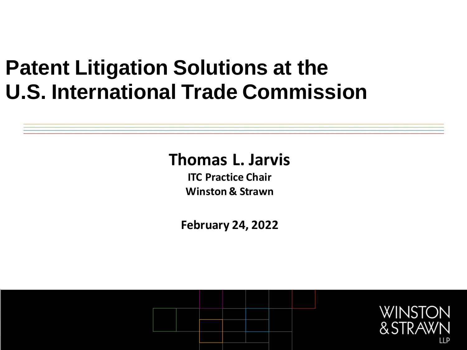## **Patent Litigation Solutions at the U.S. International Trade Commission**

#### **Thomas L. Jarvis**

**ITC Practice Chair Winston & Strawn**

**February 24, 2022**

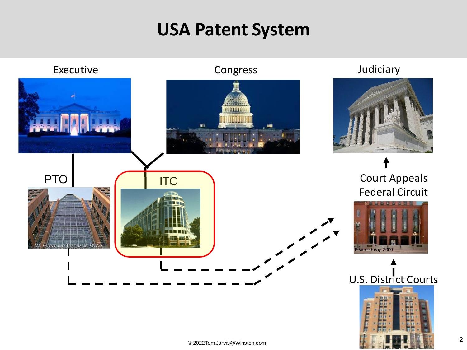#### **USA Patent System**

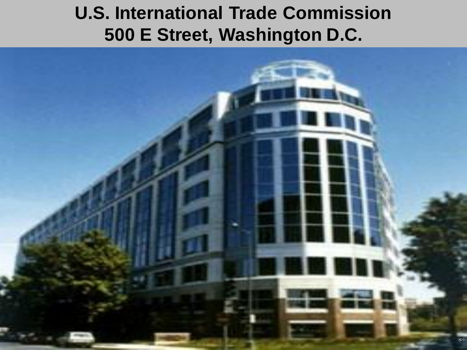#### **U.S. International Trade Commission 500 E Street, Washington D.C.**

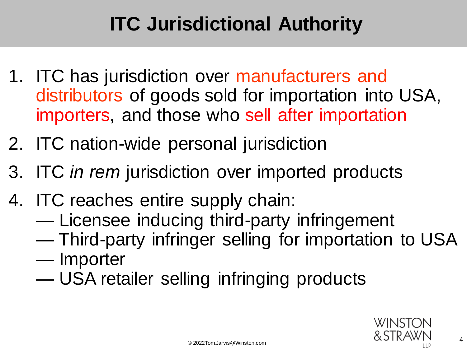### **ITC Jurisdictional Authority**

- 1. ITC has jurisdiction over manufacturers and distributors of goods sold for importation into USA, importers, and those who sell after importation
- 2. ITC nation-wide personal jurisdiction
- 3. ITC *in rem* jurisdiction over imported products
- 4. ITC reaches entire supply chain:
	- Licensee inducing third-party infringement
	- Third-party infringer selling for importation to USA
	- Importer
	- USA retailer selling infringing products

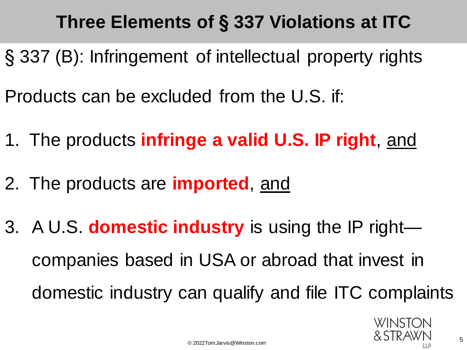### **Three Elements of § 337 Violations at ITC**

§ 337 (B): Infringement of intellectual property rights Products can be excluded from the U.S. if:

- 1. The products **infringe a valid U.S. IP right**, and
- 2. The products are **imported**, and
- 3. A U.S. **domestic industry** is using the IP right companies based in USA or abroad that invest in domestic industry can qualify and file ITC complaints

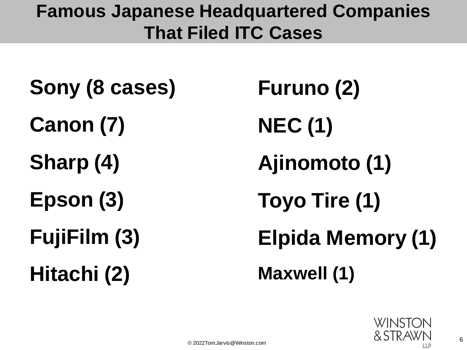#### **Famous Japanese Headquartered Companies That Filed ITC Cases**

**Sony (8 cases) Canon (7) Sharp (4) Epson (3) FujiFilm (3) Hitachi (2)**

**Furuno (2) NEC (1) Ajinomoto (1) Toyo Tire (1) Elpida Memory (1) Maxwell (1)**

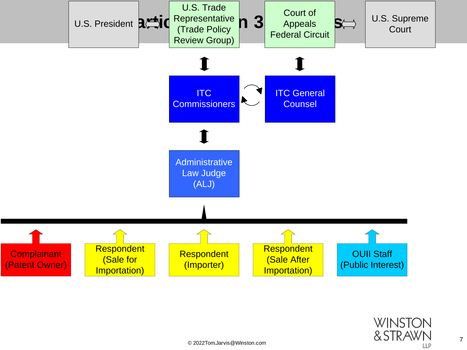

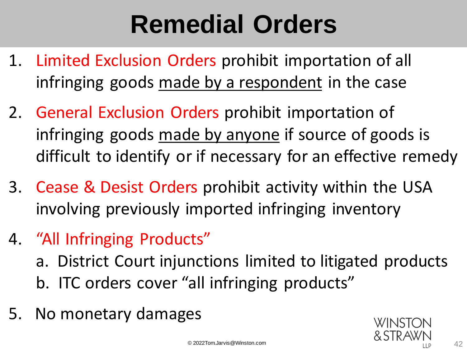## **Remedial Orders**

- 1. Limited Exclusion Orders prohibit importation of all infringing goods made by a respondent in the case
- 2. General Exclusion Orders prohibit importation of infringing goods made by anyone if source of goods is difficult to identify or if necessary for an effective remedy
- 3. Cease & Desist Orders prohibit activity within the USA involving previously imported infringing inventory
- 4. "All Infringing Products"
	- a. District Court injunctions limited to litigated products b. ITC orders cover "all infringing products"
- 5. No monetary damages

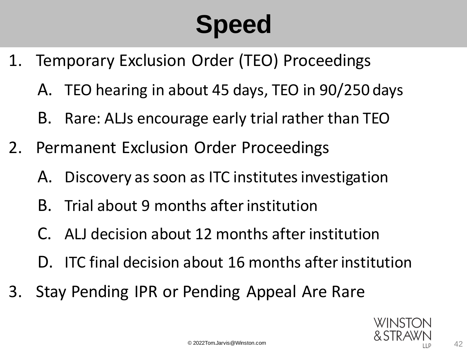# **Speed**

- 1. Temporary Exclusion Order (TEO) Proceedings
	- A. TEO hearing in about 45 days, TEO in 90/250 days
	- B. Rare: ALJs encourage early trial rather than TEO
- 2. Permanent Exclusion Order Proceedings
	- A. Discovery as soon as ITC institutes investigation
	- B. Trial about 9 months after institution
	- C. ALJ decision about 12 months after institution
	- D. ITC final decision about 16 months after institution
- 3. Stay Pending IPR or Pending Appeal Are Rare

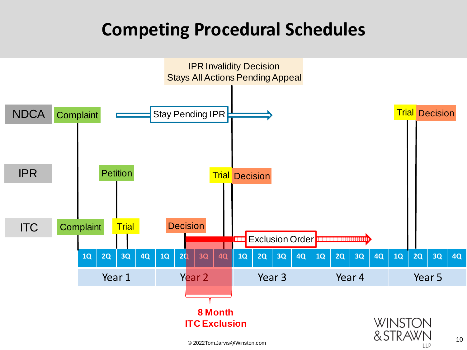#### **Competing Procedural Schedules**